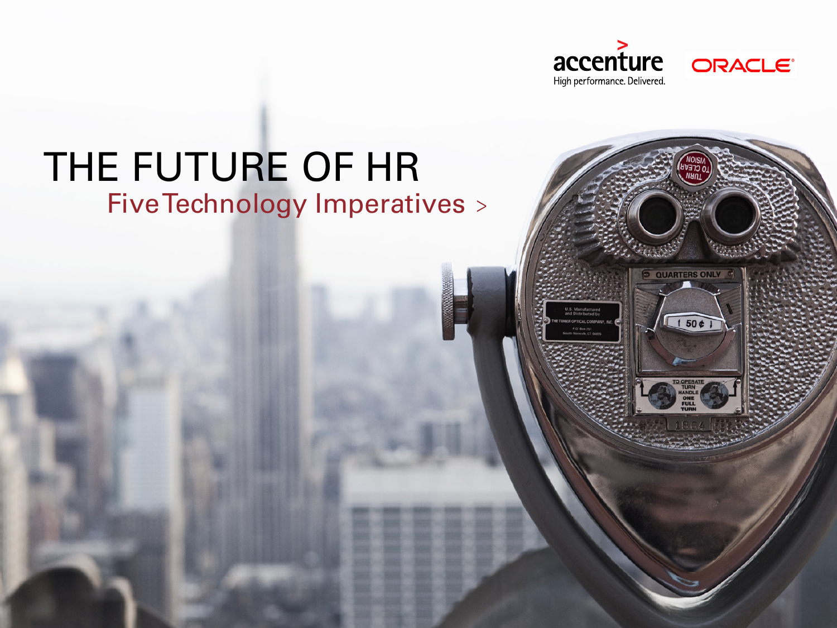

ORACLE<sup>®</sup>

# THE FUTURE OF HR Five Technology Imperatives >

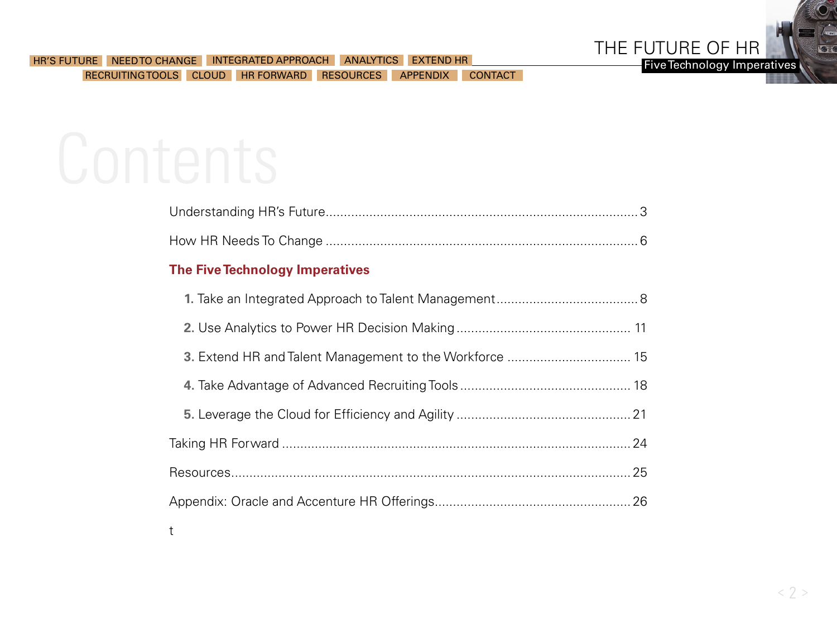

### **The Five Technology Imperatives**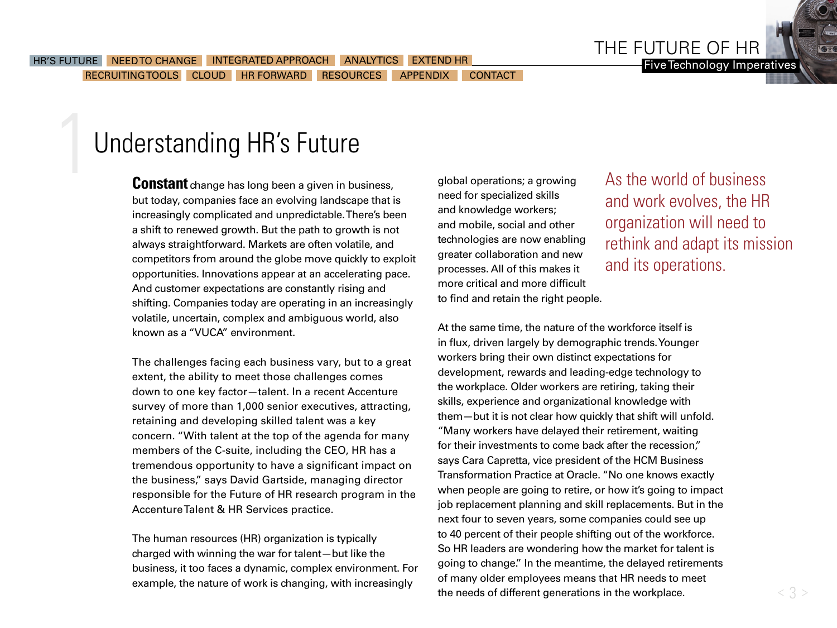THE FUTURE OF HR

Five Technology Imperatives

## <span id="page-2-0"></span>Understanding HR's Future

**Constant** change has long been a given in business, but today, companies face an evolving landscape that is increasingly complicated and unpredictable. There's been a shift to renewed growth. But the path to growth is not always straightforward. Markets are often volatile, and competitors from around the globe move quickly to exploit opportunities. Innovations appear at an accelerating pace. And customer expectations are constantly rising and shifting. Companies today are operating in an increasingly volatile, uncertain, complex and ambiguous world, also known as a "VUCA" environment.

The challenges facing each business vary, but to a great extent, the ability to meet those challenges comes down to one key factor—talent. In a recent Accenture survey of more than 1,000 senior executives, attracting, retaining and developing skilled talent was a key concern. "With talent at the top of the agenda for many members of the C-suite, including the CEO, HR has a tremendous opportunity to have a significant impact on the business," says David Gartside, managing director responsible for the Future of HR research program in the Accenture Talent & HR Services practice.

The human resources (HR) organization is typically charged with winning the war for talent—but like the business, it too faces a dynamic, complex environment. For example, the nature of work is changing, with increasingly

global operations; a growing need for specialized skills and knowledge workers; and mobile, social and other technologies are now enabling greater collaboration and new processes. All of this makes it more critical and more difficult to find and retain the right people.

As the world of business and work evolves, the HR organization will need to rethink and adapt its mission and its operations.

At the same time, the nature of the workforce itself is in flux, driven largely by demographic trends. Younger workers bring their own distinct expectations for development, rewards and leading-edge technology to the workplace. Older workers are retiring, taking their skills, experience and organizational knowledge with them—but it is not clear how quickly that shift will unfold. "Many workers have delayed their retirement, waiting for their investments to come back after the recession," says Cara Capretta, vice president of the HCM Business Transformation Practice at Oracle. "No one knows exactly when people are going to retire, or how it's going to impact job replacement planning and skill replacements. But in the next four to seven years, some companies could see up to 40 percent of their people shifting out of the workforce. So HR leaders are wondering how the market for talent is going to change." In the meantime, the delayed retirements of many older employees means that HR needs to meet the needs of different generations in the workplace.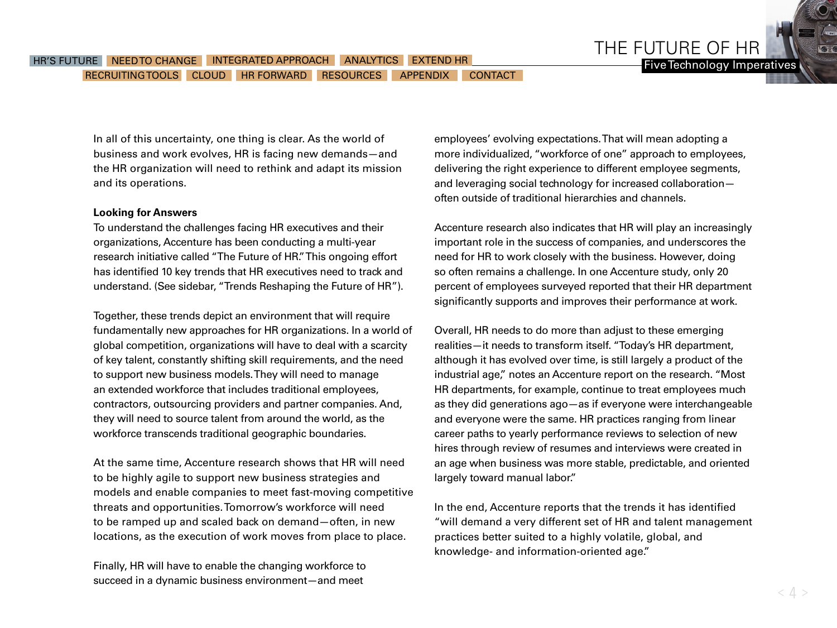In all of this uncertainty, one thing is clear. As the world of business and work evolves, HR is facing new demands—and the HR organization will need to rethink and adapt its mission and its operations.

### **Looking for Answers**

To understand the challenges facing HR executives and their organizations, Accenture has been conducting a multi-year research initiative called "The Future of HR." This ongoing effort has identified 10 key trends that HR executives need to track and understand. (See sidebar, "Trends Reshaping the Future of HR").

Together, these trends depict an environment that will require fundamentally new approaches for HR organizations. In a world of global competition, organizations will have to deal with a scarcity of key talent, constantly shifting skill requirements, and the need to support new business models. They will need to manage an extended workforce that includes traditional employees, contractors, outsourcing providers and partner companies. And, they will need to source talent from around the world, as the workforce transcends traditional geographic boundaries.

At the same time, Accenture research shows that HR will need to be highly agile to support new business strategies and models and enable companies to meet fast-moving competitive threats and opportunities. Tomorrow's workforce will need to be ramped up and scaled back on demand—often, in new locations, as the execution of work moves from place to place.

Finally, HR will have to enable the changing workforce to succeed in a dynamic business environment—and meet

employees' evolving expectations. That will mean adopting a more individualized, "workforce of one" approach to employees, delivering the right experience to different employee segments, and leveraging social technology for increased collaboration often outside of traditional hierarchies and channels.

THE FUTURE OF HR

Five Technology Imperatives

Accenture research also indicates that HR will play an increasingly important role in the success of companies, and underscores the need for HR to work closely with the business. However, doing so often remains a challenge. In one Accenture study, only 20 percent of employees surveyed reported that their HR department significantly supports and improves their performance at work.

Overall, HR needs to do more than adjust to these emerging realities—it needs to transform itself. "Today's HR department, although it has evolved over time, is still largely a product of the industrial age," notes an Accenture report on the research. "Most HR departments, for example, continue to treat employees much as they did generations ago—as if everyone were interchangeable and everyone were the same. HR practices ranging from linear career paths to yearly performance reviews to selection of new hires through review of resumes and interviews were created in an age when business was more stable, predictable, and oriented largely toward manual labor."

In the end, Accenture reports that the trends it has identified "will demand a very different set of HR and talent management practices better suited to a highly volatile, global, and knowledge- and information-oriented age."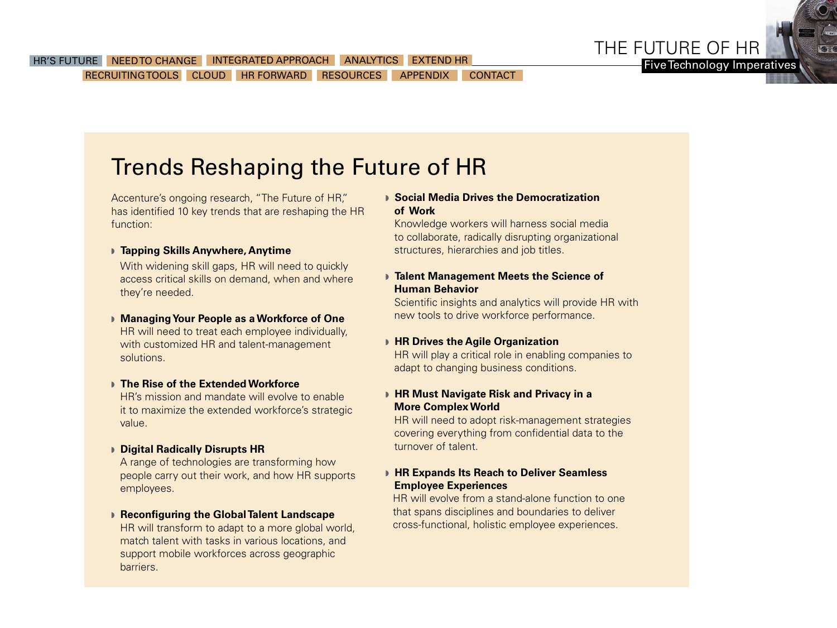

Five Technology Imperatives

## Trends Reshaping the Future of HR

Accenture's ongoing research, "The Future of HR," has identified 10 key trends that are reshaping the HR function:

### **Fapping Skills Anywhere, Anytime**

With widening skill gaps, HR will need to quickly access critical skills on demand, when and where they're needed.

**Managing Your People as a Workforce of One** HR will need to treat each employee individually, with customized HR and talent-management solutions.

### **▶ The Rise of the Extended Workforce**

HR's mission and mandate will evolve to enable it to maximize the extended workforce's strategic value.

w **Digital Radically Disrupts HR** 

A range of technologies are transforming how people carry out their work, and how HR supports employees.

### w **Reconfiguring the Global Talent Landscape**

HR will transform to adapt to a more global world, match talent with tasks in various locations, and support mobile workforces across geographic barriers.

### **▶ Social Media Drives the Democratization of Work**

Knowledge workers will harness social media to collaborate, radically disrupting organizational structures, hierarchies and job titles.

### w **Talent Management Meets the Science of Human Behavior**

Scientific insights and analytics will provide HR with new tools to drive workforce performance.

### **FIR Drives the Agile Organization**

HR will play a critical role in enabling companies to adapt to changing business conditions.

### w **HR Must Navigate Risk and Privacy in a More Complex World**

HR will need to adopt risk-management strategies covering everything from confidential data to the turnover of talent.

### w **HR Expands Its Reach to Deliver Seamless Employee Experiences**

HR will evolve from a stand-alone function to one that spans disciplines and boundaries to deliver cross-functional, holistic employee experiences.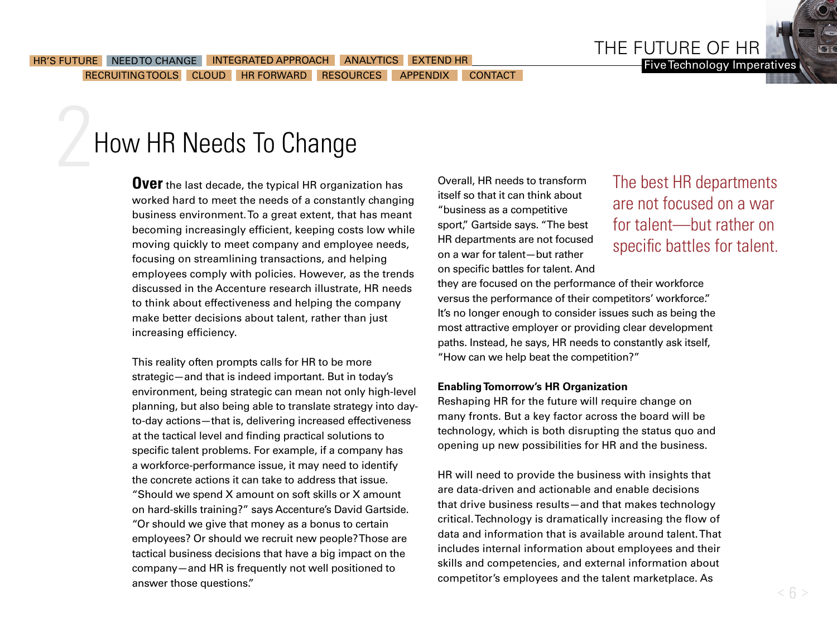<span id="page-5-0"></span>How HR Needs To Change

**Over** the last decade, the typical HR organization has worked hard to meet the needs of a constantly changing business environment. To a great extent, that has meant becoming increasingly efficient, keeping costs low while moving quickly to meet company and employee needs, focusing on streamlining transactions, and helping employees comply with policies. However, as the trends discussed in the Accenture research illustrate, HR needs to think about effectiveness and helping the company make better decisions about talent, rather than just increasing efficiency.

This reality often prompts calls for HR to be more strategic—and that is indeed important. But in today's environment, being strategic can mean not only high-level planning, but also being able to translate strategy into dayto-day actions—that is, delivering increased effectiveness at the tactical level and finding practical solutions to specific talent problems. For example, if a company has a workforce-performance issue, it may need to identify the concrete actions it can take to address that issue. "Should we spend X amount on soft skills or X amount on hard-skills training?" says Accenture's David Gartside. "Or should we give that money as a bonus to certain employees? Or should we recruit new people? Those are tactical business decisions that have a big impact on the company—and HR is frequently not well positioned to answer those questions."

Overall, HR needs to transform itself so that it can think about "business as a competitive sport," Gartside says. "The best HR departments are not focused on a war for talent—but rather on specific battles for talent. And The best HR departments are not focused on a war for talent—but rather on specific battles for talent.

THE FUTURE OF HR

they are focused on the performance of their workforce versus the performance of their competitors' workforce." It's no longer enough to consider issues such as being the most attractive employer or providing clear development paths. Instead, he says, HR needs to constantly ask itself, "How can we help beat the competition?"

### **Enabling Tomorrow's HR Organization**

Reshaping HR for the future will require change on many fronts. But a key factor across the board will be technology, which is both disrupting the status quo and opening up new possibilities for HR and the business.

HR will need to provide the business with insights that are data-driven and actionable and enable decisions that drive business results—and that makes technology critical. Technology is dramatically increasing the flow of data and information that is available around talent. That includes internal information about employees and their skills and competencies, and external information about competitor's employees and the talent marketplace. As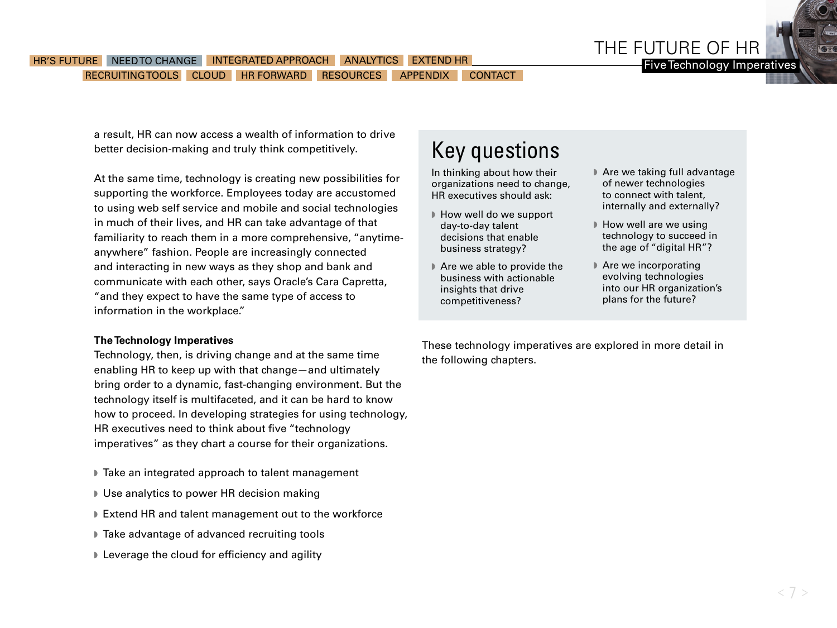

### HR'S FUTURE NEED TO CHANGE [INTEGRATED APPROACH](#page-7-0) [ANALYTICS](#page-10-0) [EXTEND HR](#page-14-0) THE MODEL TO THE TIME THE TOP THE TOP OF THE TOP OF THE TOP OF THE TOP OF THE TOP OF THE TOP OF THE TOP OF THE TOP OF THE TOP OF THE TOP OF THE TOP OF THE [RECRUITING TOOLS](#page-17-0) [CLOUD](#page-20-0) HR FORWARD [RESOURCES](#page-24-0) [APPENDIX](#page-25-0) [CONTACT](#page-28-0)

a result, HR can now access a wealth of information to drive better decision-making and truly think competitively.

At the same time, technology is creating new possibilities for supporting the workforce. Employees today are accustomed to using web self service and mobile and social technologies in much of their lives, and HR can take advantage of that familiarity to reach them in a more comprehensive, "anytimeanywhere" fashion. People are increasingly connected and interacting in new ways as they shop and bank and communicate with each other, says Oracle's Cara Capretta, "and they expect to have the same type of access to information in the workplace."

### **The Technology Imperatives**

Technology, then, is driving change and at the same time enabling HR to keep up with that change—and ultimately bring order to a dynamic, fast-changing environment. But the technology itself is multifaceted, and it can be hard to know how to proceed. In developing strategies for using technology, HR executives need to think about five "technology imperatives" as they chart a course for their organizations.

- Take an integrated approach to talent management
- Use analytics to power HR decision making
- Extend HR and talent management out to the workforce
- Take advantage of advanced recruiting tools
- **I** Leverage the cloud for efficiency and agility

## Key questions

In thinking about how their organizations need to change, HR executives should ask:

- $\blacktriangleright$  How well do we support day-to-day talent decisions that enable business strategy?
- $\blacktriangleright$  Are we able to provide the business with actionable insights that drive competitiveness?
- $\blacktriangleright$  Are we taking full advantage of newer technologies to connect with talent, internally and externally?
- **How well are we using** technology to succeed in the age of "digital HR"?
- $\blacktriangleright$  Are we incorporating evolving technologies into our HR organization's plans for the future?

These technology imperatives are explored in more detail in the following chapters.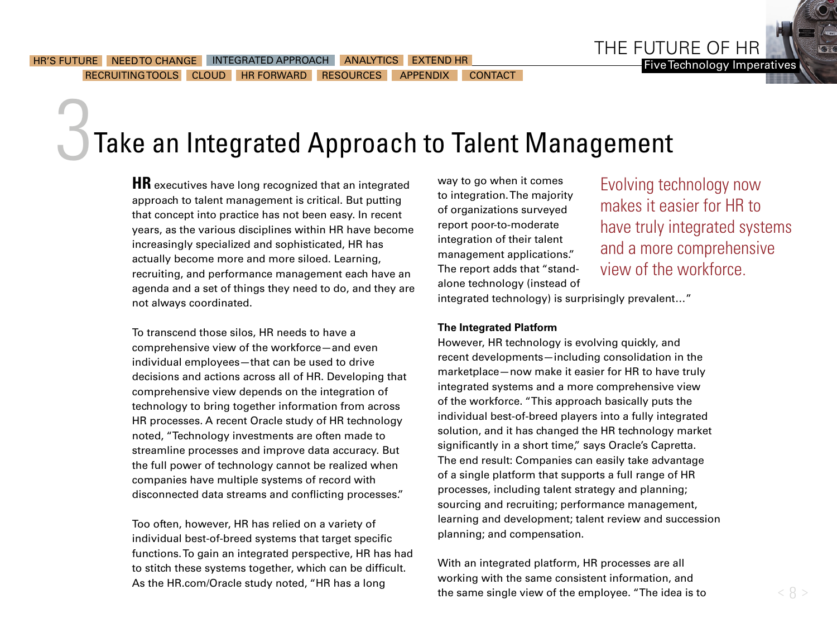<span id="page-7-0"></span>[RECRUITING TOOLS](#page-17-0) [CLOUD](#page-20-0) HR FORWARD [RESOURCES](#page-24-0) [APPENDIX](#page-25-0) [CONTACT](#page-28-0)

### ADVANTAGE LEVERAGE FORWARD Take an Integrated Approach to Talent Management

**HR** executives have long recognized that an integrated approach to talent management is critical. But putting that concept into practice has not been easy. In recent years, as the various disciplines within HR have become increasingly specialized and sophisticated, HR has actually become more and more siloed. Learning, recruiting, and performance management each have an agenda and a set of things they need to do, and they are not always coordinated.

UNDERSTANDING NEEDS APPROACH AND AND ANALYTICS WORKFORCE

To transcend those silos, HR needs to have a comprehensive view of the workforce—and even individual employees—that can be used to drive decisions and actions across all of HR. Developing that comprehensive view depends on the integration of technology to bring together information from across HR processes. A recent Oracle study of HR technology noted, "Technology investments are often made to streamline processes and improve data accuracy. But the full power of technology cannot be realized when companies have multiple systems of record with disconnected data streams and conflicting processes."

Too often, however, HR has relied on a variety of individual best-of-breed systems that target specific functions. To gain an integrated perspective, HR has had to stitch these systems together, which can be difficult. As the HR.com/Oracle study noted, "HR has a long

way to go when it comes to integration. The majority of organizations surveyed report poor-to-moderate integration of their talent management applications." The report adds that "standalone technology (instead of

Evolving technology now makes it easier for HR to have truly integrated systems and a more comprehensive view of the workforce.

integrated technology) is surprisingly prevalent…"

### **The Integrated Platform**

However, HR technology is evolving quickly, and recent developments—including consolidation in the marketplace—now make it easier for HR to have truly integrated systems and a more comprehensive view of the workforce. "This approach basically puts the individual best-of-breed players into a fully integrated solution, and it has changed the HR technology market significantly in a short time," says Oracle's Capretta. The end result: Companies can easily take advantage of a single platform that supports a full range of HR processes, including talent strategy and planning; sourcing and recruiting; performance management, learning and development; talent review and succession planning; and compensation.

With an integrated platform, HR processes are all working with the same consistent information, and the same single view of the employee. "The idea is to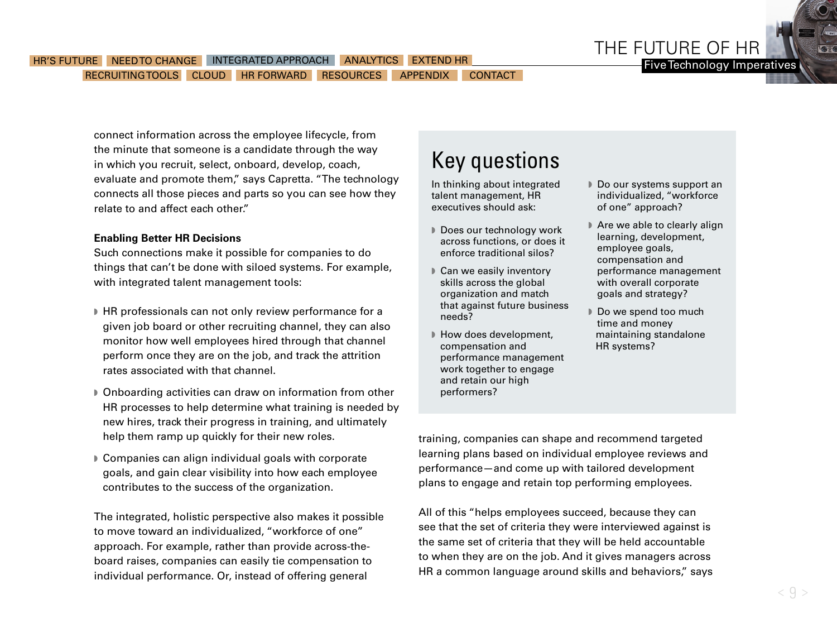

Five Technology Imperatives

#### HR'S FUTURE A [NEED TO CHANGE](#page-5-0) AND THE GRATED APPROACH [ANALYTICS](#page-10-0) [EXTEND HR](#page-14-0) [RECRUITING TOOLS](#page-17-0) [CLOUD](#page-20-0) [HR FORWARD](#page-23-0) [RESOURCES](#page-24-0) [APPENDIX](#page-25-0) [CONTACT](#page-28-0)

connect information across the employee lifecycle, from the minute that someone is a candidate through the way in which you recruit, select, onboard, develop, coach, evaluate and promote them," says Capretta. "The technology connects all those pieces and parts so you can see how they relate to and affect each other."

### **Enabling Better HR Decisions**

Such connections make it possible for companies to do things that can't be done with siloed systems. For example, with integrated talent management tools:

- HR professionals can not only review performance for a given job board or other recruiting channel, they can also monitor how well employees hired through that channel perform once they are on the job, and track the attrition rates associated with that channel.
- **D** Onboarding activities can draw on information from other HR processes to help determine what training is needed by new hires, track their progress in training, and ultimately help them ramp up quickly for their new roles.
- Companies can align individual goals with corporate goals, and gain clear visibility into how each employee contributes to the success of the organization.

The integrated, holistic perspective also makes it possible to move toward an individualized, "workforce of one" approach. For example, rather than provide across-theboard raises, companies can easily tie compensation to individual performance. Or, instead of offering general

### Key questions

In thinking about integrated talent management, HR executives should ask:

- Does our technology work across functions, or does it enforce traditional silos?
- $\triangleright$  Can we easily inventory skills across the global organization and match that against future business needs?
- How does development, compensation and performance management work together to engage and retain our high performers?
- Do our systems support an individualized, "workforce of one" approach?
- Are we able to clearly align learning, development, employee goals, compensation and performance management with overall corporate goals and strategy?
- Do we spend too much time and money maintaining standalone HR systems?

training, companies can shape and recommend targeted learning plans based on individual employee reviews and performance—and come up with tailored development plans to engage and retain top performing employees.

All of this "helps employees succeed, because they can see that the set of criteria they were interviewed against is the same set of criteria that they will be held accountable to when they are on the job. And it gives managers across HR a common language around skills and behaviors," says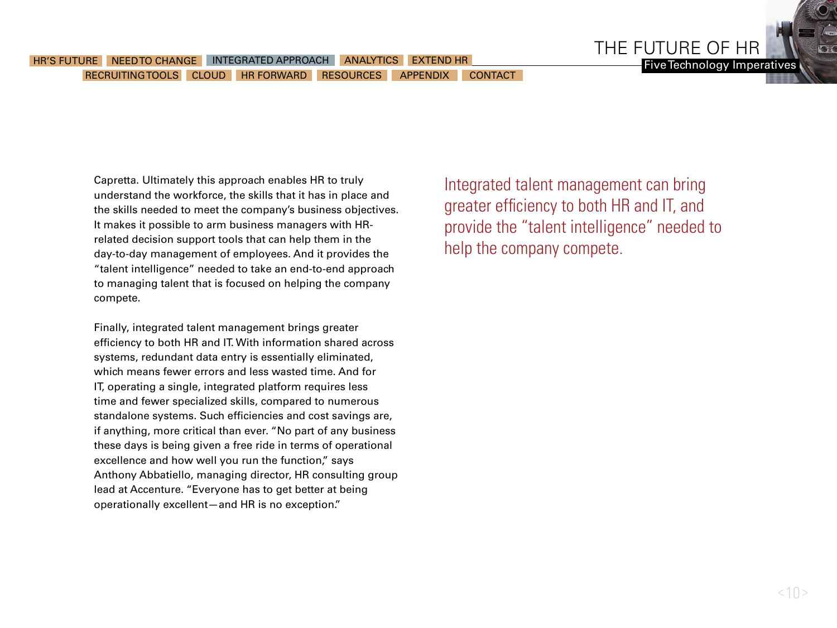Capretta. Ultimately this approach enables HR to truly understand the workforce, the skills that it has in place and the skills needed to meet the company's business objectives. It makes it possible to arm business managers with HRrelated decision support tools that can help them in the day-to-day management of employees. And it provides the "talent intelligence" needed to take an end-to-end approach to managing talent that is focused on helping the company compete.

Finally, integrated talent management brings greater efficiency to both HR and IT. With information shared across systems, redundant data entry is essentially eliminated, which means fewer errors and less wasted time. And for IT, operating a single, integrated platform requires less time and fewer specialized skills, compared to numerous standalone systems. Such efficiencies and cost savings are, if anything, more critical than ever. "No part of any business these days is being given a free ride in terms of operational excellence and how well you run the function," says Anthony Abbatiello, managing director, HR consulting group lead at Accenture. "Everyone has to get better at being operationally excellent—and HR is no exception."

Integrated talent management can bring greater efficiency to both HR and IT, and provide the "talent intelligence" needed to help the company compete.

THE FUTURE OF HR

Five Technology Imperatives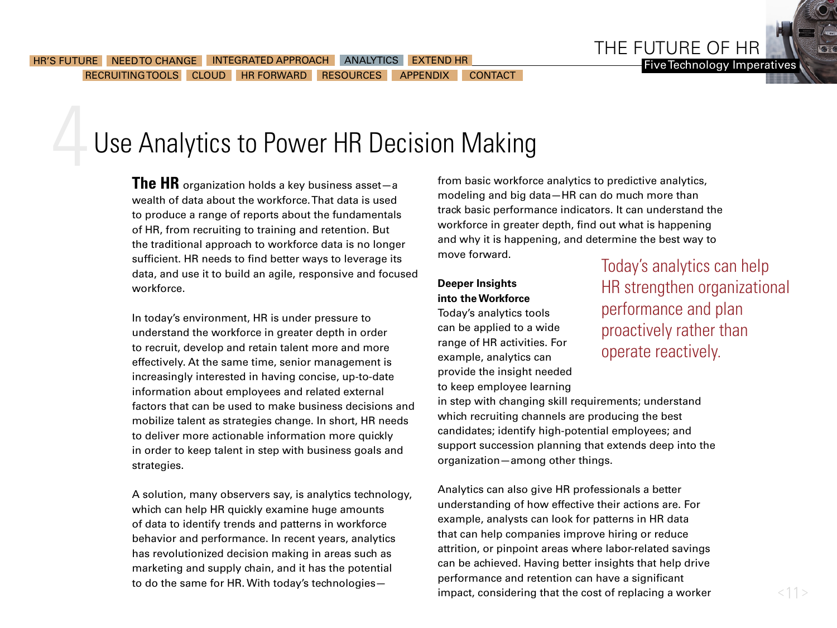# <span id="page-10-0"></span>Use Analytics to Power HR Decision Making

**The HR** organization holds a key business asset—a wealth of data about the workforce. That data is used to produce a range of reports about the fundamentals of HR, from recruiting to training and retention. But the traditional approach to workforce data is no longer sufficient. HR needs to find better ways to leverage its data, and use it to build an agile, responsive and focused workforce.

In today's environment, HR is under pressure to understand the workforce in greater depth in order to recruit, develop and retain talent more and more effectively. At the same time, senior management is increasingly interested in having concise, up-to-date information about employees and related external factors that can be used to make business decisions and mobilize talent as strategies change. In short, HR needs to deliver more actionable information more quickly in order to keep talent in step with business goals and strategies.

A solution, many observers say, is analytics technology, which can help HR quickly examine huge amounts of data to identify trends and patterns in workforce behavior and performance. In recent years, analytics has revolutionized decision making in areas such as marketing and supply chain, and it has the potential to do the same for HR. With today's technologies—

from basic workforce analytics to predictive analytics, modeling and big data—HR can do much more than track basic performance indicators. It can understand the workforce in greater depth, find out what is happening and why it is happening, and determine the best way to move forward.

### **Deeper Insights into the Workforce**

Today's analytics tools can be applied to a wide range of HR activities. For example, analytics can provide the insight needed to keep employee learning Today's analytics can help HR strengthen organizational performance and plan proactively rather than operate reactively.

in step with changing skill requirements; understand which recruiting channels are producing the best candidates; identify high-potential employees; and support succession planning that extends deep into the organization—among other things.

Analytics can also give HR professionals a better understanding of how effective their actions are. For example, analysts can look for patterns in HR data that can help companies improve hiring or reduce attrition, or pinpoint areas where labor-related savings can be achieved. Having better insights that help drive performance and retention can have a significant impact, considering that the cost of replacing a worker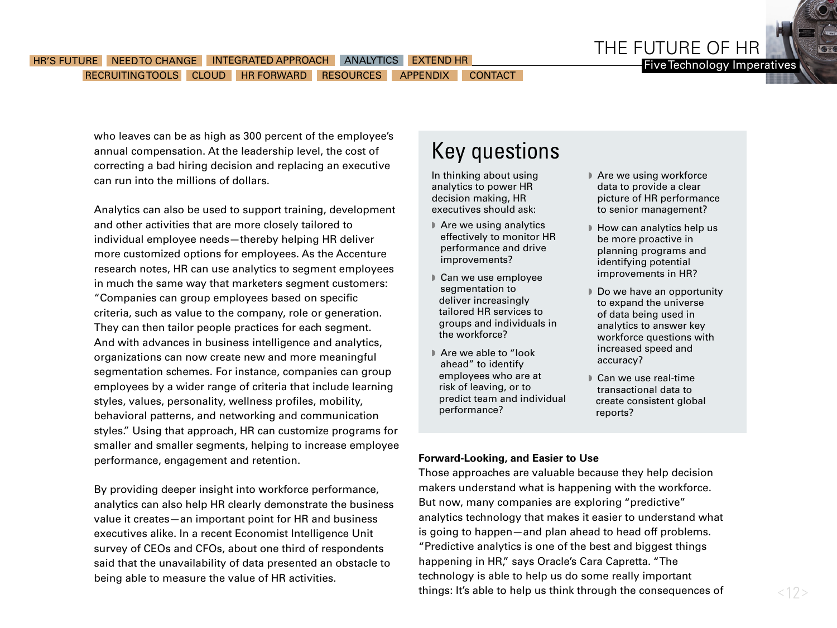

who leaves can be as high as 300 percent of the employee's annual compensation. At the leadership level, the cost of correcting a bad hiring decision and replacing an executive can run into the millions of dollars.

Analytics can also be used to support training, development and other activities that are more closely tailored to individual employee needs—thereby helping HR deliver more customized options for employees. As the Accenture research notes, HR can use analytics to segment employees in much the same way that marketers segment customers: "Companies can group employees based on specific criteria, such as value to the company, role or generation. They can then tailor people practices for each segment. And with advances in business intelligence and analytics, organizations can now create new and more meaningful segmentation schemes. For instance, companies can group employees by a wider range of criteria that include learning styles, values, personality, wellness profiles, mobility, behavioral patterns, and networking and communication styles." Using that approach, HR can customize programs for smaller and smaller segments, helping to increase employee performance, engagement and retention.

By providing deeper insight into workforce performance, analytics can also help HR clearly demonstrate the business value it creates—an important point for HR and business executives alike. In a recent Economist Intelligence Unit survey of CEOs and CFOs, about one third of respondents said that the unavailability of data presented an obstacle to being able to measure the value of HR activities.

### Key questions

In thinking about using analytics to power HR decision making, HR executives should ask:

- $\blacktriangleright$  Are we using analytics effectively to monitor HR performance and drive improvements?
- Can we use employee segmentation to deliver increasingly tailored HR services to groups and individuals in the workforce?
- ▶ Are we able to "look ahead" to identify employees who are at risk of leaving, or to predict team and individual performance?
- $\blacktriangleright$  Are we using workforce data to provide a clear picture of HR performance to senior management?
- How can analytics help us be more proactive in planning programs and identifying potential improvements in HR?
- Do we have an opportunity to expand the universe of data being used in analytics to answer key workforce questions with increased speed and accuracy?
- Can we use real-time transactional data to create consistent global reports?

### **Forward-Looking, and Easier to Use**

Those approaches are valuable because they help decision makers understand what is happening with the workforce. But now, many companies are exploring "predictive" analytics technology that makes it easier to understand what is going to happen—and plan ahead to head off problems. "Predictive analytics is one of the best and biggest things happening in HR," says Oracle's Cara Capretta. "The technology is able to help us do some really important things: It's able to help us think through the consequences of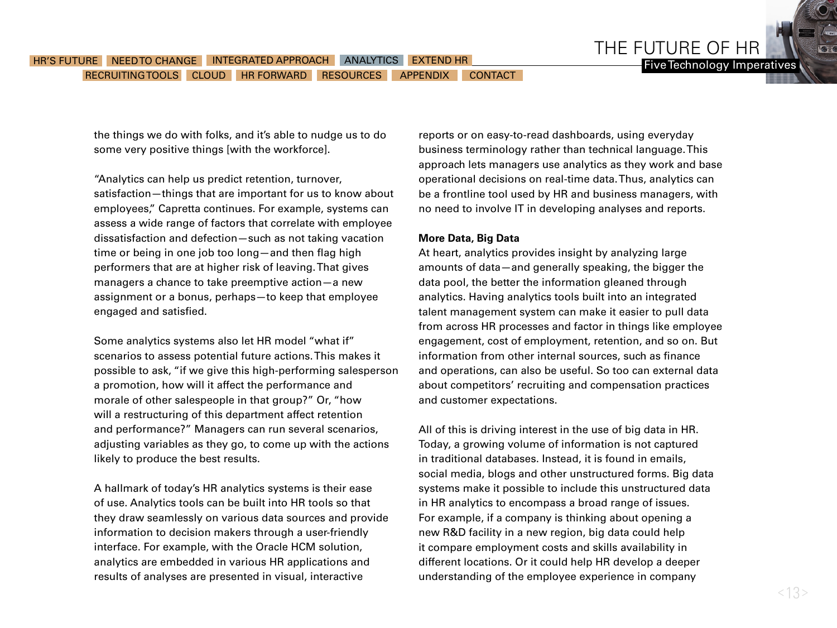the things we do with folks, and it's able to nudge us to do some very positive things [with the workforce].

"Analytics can help us predict retention, turnover, satisfaction—things that are important for us to know about employees," Capretta continues. For example, systems can assess a wide range of factors that correlate with employee dissatisfaction and defection—such as not taking vacation time or being in one job too long—and then flag high performers that are at higher risk of leaving. That gives managers a chance to take preemptive action—a new assignment or a bonus, perhaps—to keep that employee engaged and satisfied.

Some analytics systems also let HR model "what if" scenarios to assess potential future actions. This makes it possible to ask, "if we give this high-performing salesperson a promotion, how will it affect the performance and morale of other salespeople in that group?" Or, "how will a restructuring of this department affect retention and performance?" Managers can run several scenarios, adjusting variables as they go, to come up with the actions likely to produce the best results.

A hallmark of today's HR analytics systems is their ease of use. Analytics tools can be built into HR tools so that they draw seamlessly on various data sources and provide information to decision makers through a user-friendly interface. For example, with the Oracle HCM solution, analytics are embedded in various HR applications and results of analyses are presented in visual, interactive

reports or on easy-to-read dashboards, using everyday business terminology rather than technical language. This approach lets managers use analytics as they work and base operational decisions on real-time data. Thus, analytics can be a frontline tool used by HR and business managers, with no need to involve IT in developing analyses and reports.

THE FUTURE OF HR

#### **More Data, Big Data**

At heart, analytics provides insight by analyzing large amounts of data—and generally speaking, the bigger the data pool, the better the information gleaned through analytics. Having analytics tools built into an integrated talent management system can make it easier to pull data from across HR processes and factor in things like employee engagement, cost of employment, retention, and so on. But information from other internal sources, such as finance and operations, can also be useful. So too can external data about competitors' recruiting and compensation practices and customer expectations.

All of this is driving interest in the use of big data in HR. Today, a growing volume of information is not captured in traditional databases. Instead, it is found in emails, social media, blogs and other unstructured forms. Big data systems make it possible to include this unstructured data in HR analytics to encompass a broad range of issues. For example, if a company is thinking about opening a new R&D facility in a new region, big data could help it compare employment costs and skills availability in different locations. Or it could help HR develop a deeper understanding of the employee experience in company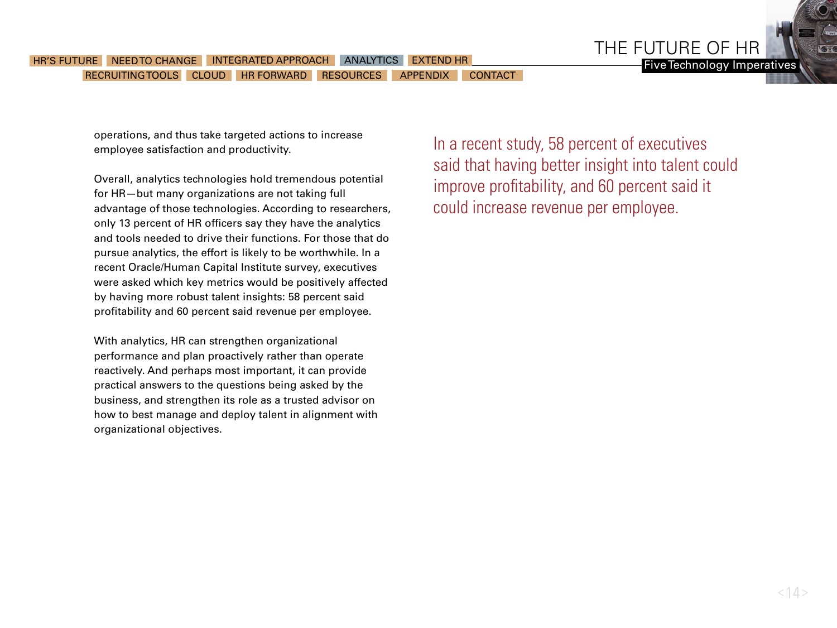### HR'S FUTURE [NEED TO CHANGE](#page-5-0) [INTEGRATED APPROACH](#page-7-0) ANALYTICS [EXTEND HR](#page-14-0) NAMES AND THE TIME TO TEChnology Imperatives [RECRUITING TOOLS](#page-17-0) [CLOUD](#page-20-0) HR FORWARD [RESOURCES](#page-24-0) [APPENDIX](#page-25-0) [CONTACT](#page-28-0)

operations, and thus take targeted actions to increase employee satisfaction and productivity.

Overall, analytics technologies hold tremendous potential for HR—but many organizations are not taking full advantage of those technologies. According to researchers, only 13 percent of HR officers say they have the analytics and tools needed to drive their functions. For those that do pursue analytics, the effort is likely to be worthwhile. In a recent Oracle/Human Capital Institute survey, executives were asked which key metrics would be positively affected by having more robust talent insights: 58 percent said profitability and 60 percent said revenue per employee.

With analytics, HR can strengthen organizational performance and plan proactively rather than operate reactively. And perhaps most important, it can provide practical answers to the questions being asked by the business, and strengthen its role as a trusted advisor on how to best manage and deploy talent in alignment with organizational objectives.

In a recent study, 58 percent of executives said that having better insight into talent could improve profitability, and 60 percent said it could increase revenue per employee.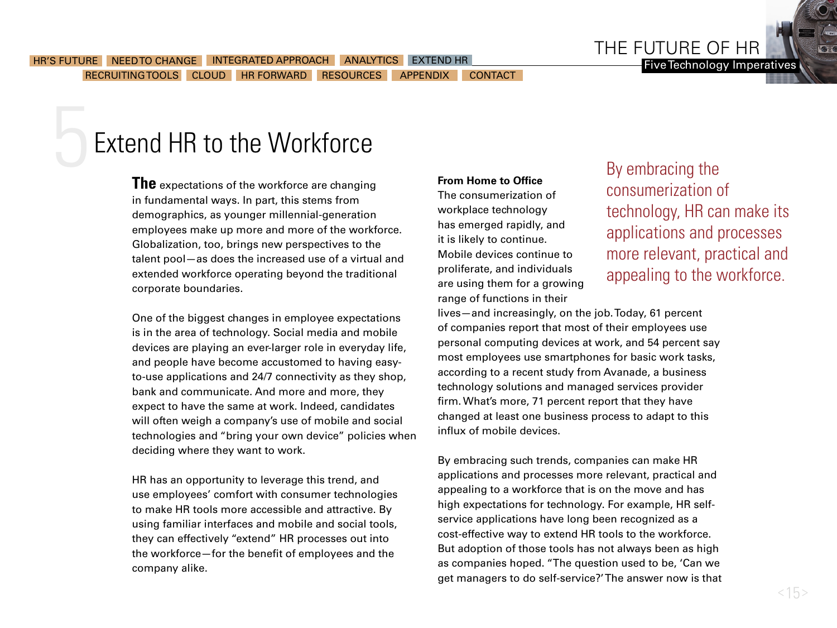THE FUTURE OF HR

## <span id="page-14-0"></span>Extend HR to the Workforce

**The** expectations of the workforce are changing in fundamental ways. In part, this stems from demographics, as younger millennial-generation employees make up more and more of the workforce. Globalization, too, brings new perspectives to the talent pool—as does the increased use of a virtual and extended workforce operating beyond the traditional corporate boundaries.

One of the biggest changes in employee expectations is in the area of technology. Social media and mobile devices are playing an ever-larger role in everyday life, and people have become accustomed to having easyto-use applications and 24/7 connectivity as they shop, bank and communicate. And more and more, they expect to have the same at work. Indeed, candidates will often weigh a company's use of mobile and social technologies and "bring your own device" policies when deciding where they want to work.

HR has an opportunity to leverage this trend, and use employees' comfort with consumer technologies to make HR tools more accessible and attractive. By using familiar interfaces and mobile and social tools, they can effectively "extend" HR processes out into the workforce—for the benefit of employees and the company alike.

### **From Home to Office**

The consumerization of workplace technology has emerged rapidly, and it is likely to continue. Mobile devices continue to proliferate, and individuals are using them for a growing range of functions in their

### By embracing the consumerization of technology, HR can make its applications and processes more relevant, practical and appealing to the workforce.

lives—and increasingly, on the job. Today, 61 percent of companies report that most of their employees use personal computing devices at work, and 54 percent say most employees use smartphones for basic work tasks, according to a recent study from Avanade, a business technology solutions and managed services provider firm. What's more, 71 percent report that they have changed at least one business process to adapt to this influx of mobile devices.

By embracing such trends, companies can make HR applications and processes more relevant, practical and appealing to a workforce that is on the move and has high expectations for technology. For example, HR selfservice applications have long been recognized as a cost-effective way to extend HR tools to the workforce. But adoption of those tools has not always been as high as companies hoped. "The question used to be, 'Can we get managers to do self-service?' The answer now is that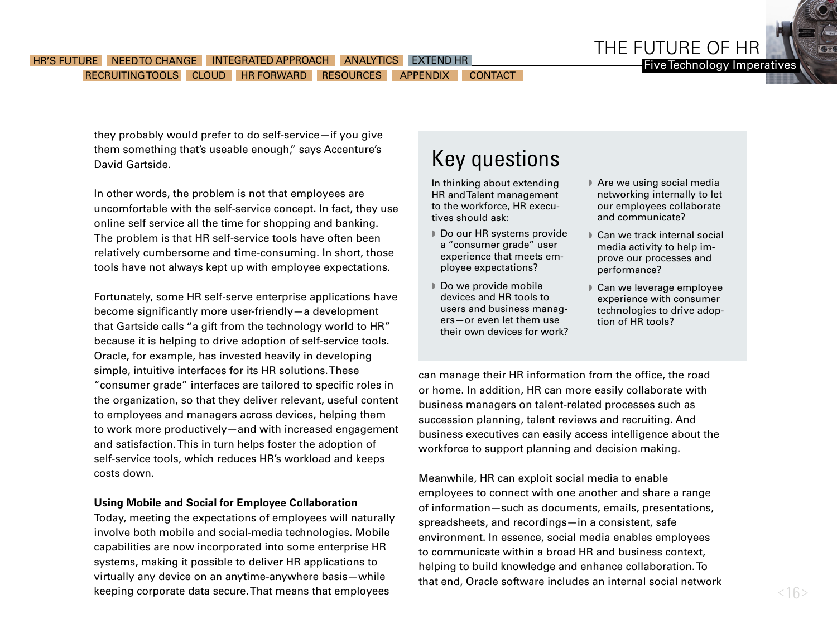

they probably would prefer to do self-service—if you give them something that's useable enough," says Accenture's David Gartside.

In other words, the problem is not that employees are uncomfortable with the self-service concept. In fact, they use online self service all the time for shopping and banking. The problem is that HR self-service tools have often been relatively cumbersome and time-consuming. In short, those tools have not always kept up with employee expectations.

Fortunately, some HR self-serve enterprise applications have become significantly more user-friendly—a development that Gartside calls "a gift from the technology world to HR" because it is helping to drive adoption of self-service tools. Oracle, for example, has invested heavily in developing simple, intuitive interfaces for its HR solutions. These "consumer grade" interfaces are tailored to specific roles in the organization, so that they deliver relevant, useful content to employees and managers across devices, helping them to work more productively—and with increased engagement and satisfaction. This in turn helps foster the adoption of self-service tools, which reduces HR's workload and keeps costs down.

#### **Using Mobile and Social for Employee Collaboration**

Today, meeting the expectations of employees will naturally involve both mobile and social-media technologies. Mobile capabilities are now incorporated into some enterprise HR systems, making it possible to deliver HR applications to virtually any device on an anytime-anywhere basis—while keeping corporate data secure. That means that employees

### Key questions

In thinking about extending HR and Talent management to the workforce, HR executives should ask:

- Do our HR systems provide a "consumer grade" user experience that meets employee expectations?
- Do we provide mobile devices and HR tools to users and business managers—or even let them use their own devices for work?
- $\blacktriangleright$  Are we using social media networking internally to let our employees collaborate and communicate?
- Can we track internal social media activity to help improve our processes and performance?
- Can we leverage employee experience with consumer technologies to drive adoption of HR tools?

can manage their HR information from the office, the road or home. In addition, HR can more easily collaborate with business managers on talent-related processes such as succession planning, talent reviews and recruiting. And business executives can easily access intelligence about the workforce to support planning and decision making.

Meanwhile, HR can exploit social media to enable employees to connect with one another and share a range of information—such as documents, emails, presentations, spreadsheets, and recordings—in a consistent, safe environment. In essence, social media enables employees to communicate within a broad HR and business context, helping to build knowledge and enhance collaboration. To that end, Oracle software includes an internal social network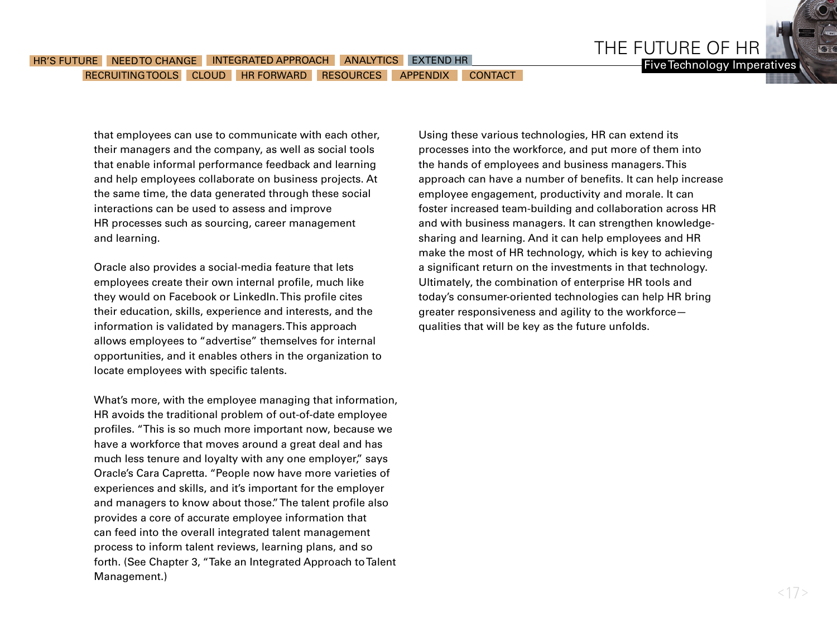that employees can use to communicate with each other, their managers and the company, as well as social tools that enable informal performance feedback and learning and help employees collaborate on business projects. At the same time, the data generated through these social interactions can be used to assess and improve HR processes such as sourcing, career management and learning.

Oracle also provides a social-media feature that lets employees create their own internal profile, much like they would on Facebook or LinkedIn. This profile cites their education, skills, experience and interests, and the information is validated by managers. This approach allows employees to "advertise" themselves for internal opportunities, and it enables others in the organization to locate employees with specific talents.

What's more, with the employee managing that information, HR avoids the traditional problem of out-of-date employee profiles. "This is so much more important now, because we have a workforce that moves around a great deal and has much less tenure and loyalty with any one employer," says Oracle's Cara Capretta. "People now have more varieties of experiences and skills, and it's important for the employer and managers to know about those." The talent profile also provides a core of accurate employee information that can feed into the overall integrated talent management process to inform talent reviews, learning plans, and so forth. (See Chapter 3, "Take an Integrated Approach to Talent Management.)

Using these various technologies, HR can extend its processes into the workforce, and put more of them into the hands of employees and business managers. This approach can have a number of benefits. It can help increase employee engagement, productivity and morale. It can foster increased team-building and collaboration across HR and with business managers. It can strengthen knowledgesharing and learning. And it can help employees and HR make the most of HR technology, which is key to achieving a significant return on the investments in that technology. Ultimately, the combination of enterprise HR tools and today's consumer-oriented technologies can help HR bring greater responsiveness and agility to the workforce qualities that will be key as the future unfolds.

THE FUTURE OF HR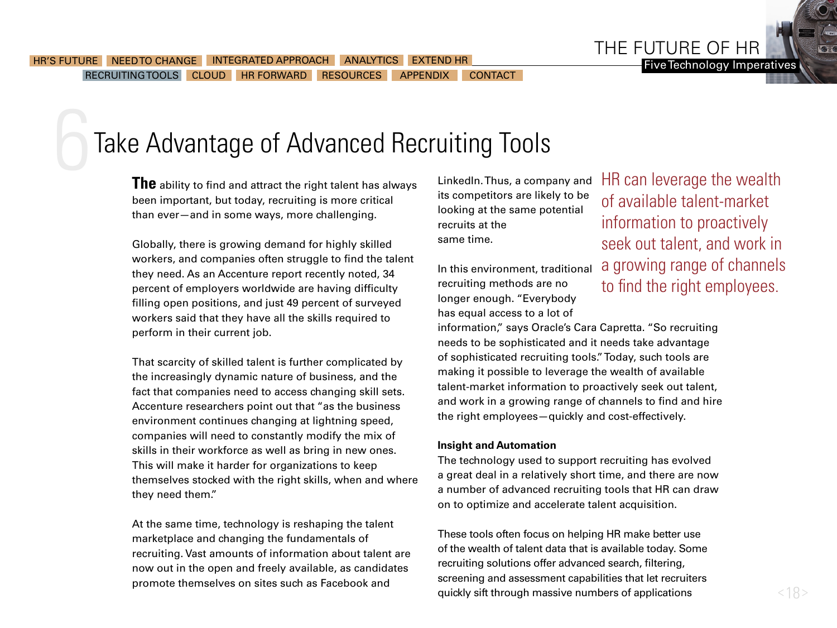THE FUTURE OF HR

## <span id="page-17-0"></span>Take Advantage of Advanced Recruiting Tools

**The** ability to find and attract the right talent has always been important, but today, recruiting is more critical than ever—and in some ways, more challenging.

Globally, there is growing demand for highly skilled workers, and companies often struggle to find the talent they need. As an Accenture report recently noted, 34 percent of employers worldwide are having difficulty filling open positions, and just 49 percent of surveyed workers said that they have all the skills required to perform in their current job.

That scarcity of skilled talent is further complicated by the increasingly dynamic nature of business, and the fact that companies need to access changing skill sets. Accenture researchers point out that "as the business environment continues changing at lightning speed, companies will need to constantly modify the mix of skills in their workforce as well as bring in new ones. This will make it harder for organizations to keep themselves stocked with the right skills, when and where they need them."

At the same time, technology is reshaping the talent marketplace and changing the fundamentals of recruiting. Vast amounts of information about talent are now out in the open and freely available, as candidates promote themselves on sites such as Facebook and

LinkedIn. Thus, a company and its competitors are likely to be looking at the same potential recruits at the same time.

In this environment, traditional recruiting methods are no longer enough. "Everybody has equal access to a lot of

HR can leverage the wealth of available talent-market information to proactively seek out talent, and work in a growing range of channels to find the right employees.

information," says Oracle's Cara Capretta. "So recruiting needs to be sophisticated and it needs take advantage of sophisticated recruiting tools." Today, such tools are making it possible to leverage the wealth of available talent-market information to proactively seek out talent, and work in a growing range of channels to find and hire the right employees—quickly and cost-effectively.

### **Insight and Automation**

The technology used to support recruiting has evolved a great deal in a relatively short time, and there are now a number of advanced recruiting tools that HR can draw on to optimize and accelerate talent acquisition.

These tools often focus on helping HR make better use of the wealth of talent data that is available today. Some recruiting solutions offer advanced search, filtering, screening and assessment capabilities that let recruiters quickly sift through massive numbers of applications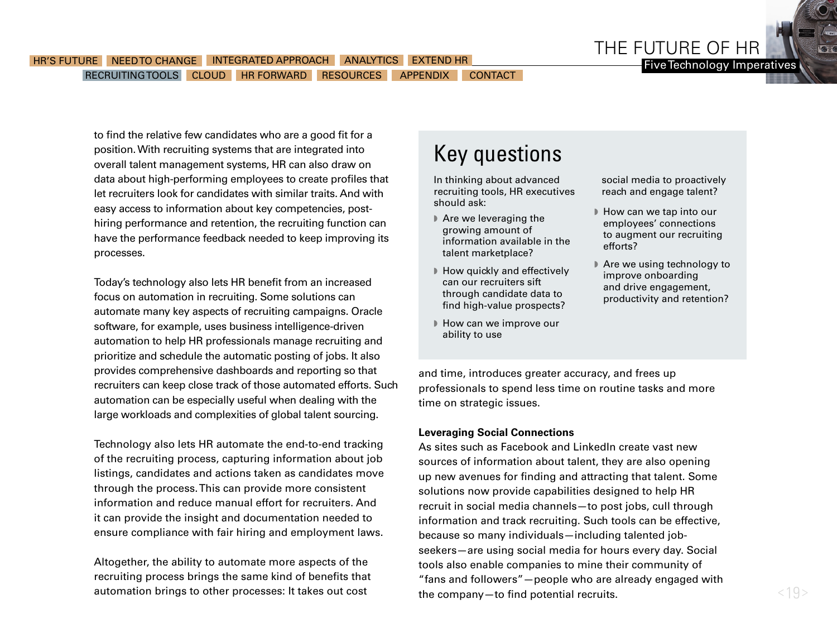

to find the relative few candidates who are a good fit for a position. With recruiting systems that are integrated into overall talent management systems, HR can also draw on data about high-performing employees to create profiles that let recruiters look for candidates with similar traits. And with easy access to information about key competencies, posthiring performance and retention, the recruiting function can have the performance feedback needed to keep improving its processes.

Today's technology also lets HR benefit from an increased focus on automation in recruiting. Some solutions can automate many key aspects of recruiting campaigns. Oracle software, for example, uses business intelligence-driven automation to help HR professionals manage recruiting and prioritize and schedule the automatic posting of jobs. It also provides comprehensive dashboards and reporting so that recruiters can keep close track of those automated efforts. Such automation can be especially useful when dealing with the large workloads and complexities of global talent sourcing.

Technology also lets HR automate the end-to-end tracking of the recruiting process, capturing information about job listings, candidates and actions taken as candidates move through the process. This can provide more consistent information and reduce manual effort for recruiters. And it can provide the insight and documentation needed to ensure compliance with fair hiring and employment laws.

Altogether, the ability to automate more aspects of the recruiting process brings the same kind of benefits that automation brings to other processes: It takes out cost

### Key questions

In thinking about advanced recruiting tools, HR executives should ask:

- $\blacktriangleright$  Are we leveraging the growing amount of information available in the talent marketplace?
- $\blacktriangleright$  How quickly and effectively can our recruiters sift through candidate data to find high-value prospects?
- How can we improve our ability to use

social media to proactively reach and engage talent?

- How can we tap into our employees' connections to augment our recruiting efforts?
- Are we using technology to improve onboarding and drive engagement, productivity and retention?

and time, introduces greater accuracy, and frees up professionals to spend less time on routine tasks and more time on strategic issues.

#### **Leveraging Social Connections**

As sites such as Facebook and LinkedIn create vast new sources of information about talent, they are also opening up new avenues for finding and attracting that talent. Some solutions now provide capabilities designed to help HR recruit in social media channels—to post jobs, cull through information and track recruiting. Such tools can be effective, because so many individuals—including talented jobseekers—are using social media for hours every day. Social tools also enable companies to mine their community of "fans and followers"—people who are already engaged with the company—to find potential recruits.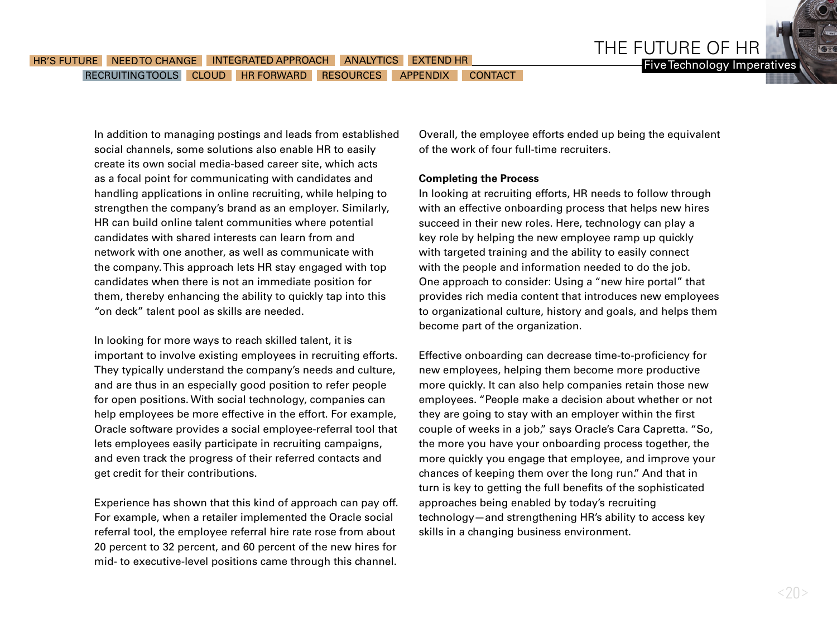In addition to managing postings and leads from established social channels, some solutions also enable HR to easily create its own social media-based career site, which acts as a focal point for communicating with candidates and handling applications in online recruiting, while helping to strengthen the company's brand as an employer. Similarly, HR can build online talent communities where potential candidates with shared interests can learn from and network with one another, as well as communicate with the company. This approach lets HR stay engaged with top candidates when there is not an immediate position for them, thereby enhancing the ability to quickly tap into this "on deck" talent pool as skills are needed.

In looking for more ways to reach skilled talent, it is important to involve existing employees in recruiting efforts. They typically understand the company's needs and culture, and are thus in an especially good position to refer people for open positions. With social technology, companies can help employees be more effective in the effort. For example, Oracle software provides a social employee-referral tool that lets employees easily participate in recruiting campaigns, and even track the progress of their referred contacts and get credit for their contributions.

Experience has shown that this kind of approach can pay off. For example, when a retailer implemented the Oracle social referral tool, the employee referral hire rate rose from about 20 percent to 32 percent, and 60 percent of the new hires for mid- to executive-level positions came through this channel. Overall, the employee efforts ended up being the equivalent of the work of four full-time recruiters.

THE FUTURE OF HR

#### **Completing the Process**

In looking at recruiting efforts, HR needs to follow through with an effective onboarding process that helps new hires succeed in their new roles. Here, technology can play a key role by helping the new employee ramp up quickly with targeted training and the ability to easily connect with the people and information needed to do the job. One approach to consider: Using a "new hire portal" that provides rich media content that introduces new employees to organizational culture, history and goals, and helps them become part of the organization.

Effective onboarding can decrease time-to-proficiency for new employees, helping them become more productive more quickly. It can also help companies retain those new employees. "People make a decision about whether or not they are going to stay with an employer within the first couple of weeks in a job," says Oracle's Cara Capretta. "So, the more you have your onboarding process together, the more quickly you engage that employee, and improve your chances of keeping them over the long run." And that in turn is key to getting the full benefits of the sophisticated approaches being enabled by today's recruiting technology—and strengthening HR's ability to access key skills in a changing business environment.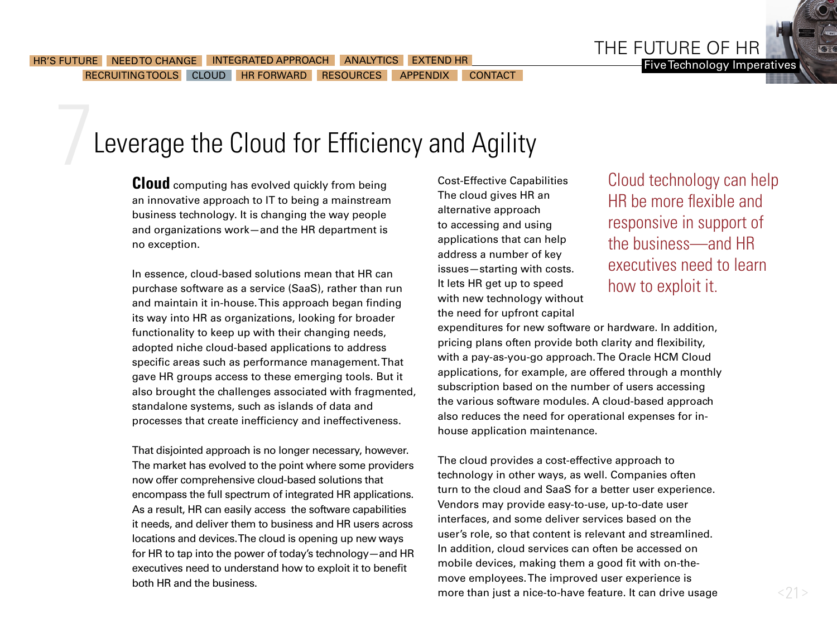## <span id="page-20-0"></span>Leverage the Cloud for Efficiency and Agility

**Cloud** computing has evolved quickly from being an innovative approach to IT to being a mainstream business technology. It is changing the way people and organizations work—and the HR department is no exception.

In essence, cloud-based solutions mean that HR can purchase software as a service (SaaS), rather than run and maintain it in-house. This approach began finding its way into HR as organizations, looking for broader functionality to keep up with their changing needs, adopted niche cloud-based applications to address specific areas such as performance management. That gave HR groups access to these emerging tools. But it also brought the challenges associated with fragmented, standalone systems, such as islands of data and processes that create inefficiency and ineffectiveness.

That disjointed approach is no longer necessary, however. The market has evolved to the point where some providers now offer comprehensive cloud-based solutions that encompass the full spectrum of integrated HR applications. As a result, HR can easily access the software capabilities it needs, and deliver them to business and HR users across locations and devices. The cloud is opening up new ways for HR to tap into the power of today's technology—and HR executives need to understand how to exploit it to benefit both HR and the business.

Cost-Effective Capabilities The cloud gives HR an alternative approach to accessing and using applications that can help address a number of key issues—starting with costs. It lets HR get up to speed with new technology without the need for upfront capital

Cloud technology can help HR be more flexible and responsive in support of the business—and HR executives need to learn how to exploit it.

expenditures for new software or hardware. In addition, pricing plans often provide both clarity and flexibility, with a pay-as-you-go approach. The Oracle HCM Cloud applications, for example, are offered through a monthly subscription based on the number of users accessing the various software modules. A cloud-based approach also reduces the need for operational expenses for inhouse application maintenance.

The cloud provides a cost-effective approach to technology in other ways, as well. Companies often turn to the cloud and SaaS for a better user experience. Vendors may provide easy-to-use, up-to-date user interfaces, and some deliver services based on the user's role, so that content is relevant and streamlined. In addition, cloud services can often be accessed on mobile devices, making them a good fit with on-themove employees. The improved user experience is more than just a nice-to-have feature. It can drive usage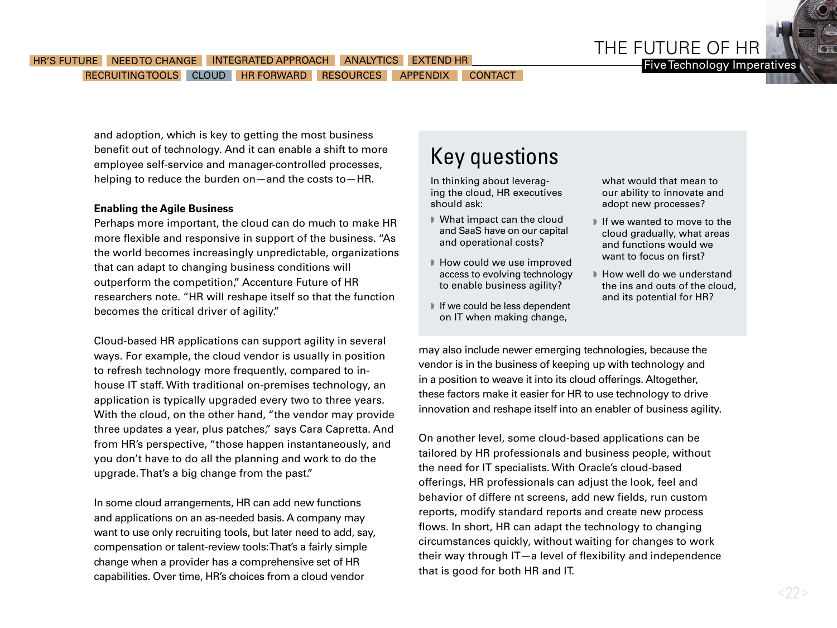

and adoption, which is key to getting the most business benefit out of technology. And it can enable a shift to more employee self-service and manager-controlled processes, helping to reduce the burden on—and the costs to—HR.

### **Enabling the Agile Business**

Perhaps more important, the cloud can do much to make HR more flexible and responsive in support of the business. "As the world becomes increasingly unpredictable, organizations that can adapt to changing business conditions will outperform the competition," Accenture Future of HR researchers note. "HR will reshape itself so that the function becomes the critical driver of agility."

Cloud-based HR applications can support agility in several ways. For example, the cloud vendor is usually in position to refresh technology more frequently, compared to inhouse IT staff. With traditional on-premises technology, an application is typically upgraded every two to three years. With the cloud, on the other hand, "the vendor may provide three updates a year, plus patches," says Cara Capretta. And from HR's perspective, "those happen instantaneously, and you don't have to do all the planning and work to do the upgrade. That's a big change from the past."

In some cloud arrangements, HR can add new functions and applications on an as-needed basis. A company may want to use only recruiting tools, but later need to add, say, compensation or talent-review tools: That's a fairly simple change when a provider has a comprehensive set of HR capabilities. Over time, HR's choices from a cloud vendor

### Key questions

In thinking about leveraging the cloud, HR executives should ask:

- w What impact can the cloud and SaaS have on our capital and operational costs?
- How could we use improved access to evolving technology to enable business agility?
- $\blacksquare$  If we could be less dependent on IT when making change,

what would that mean to our ability to innovate and adopt new processes?

- $\blacksquare$  If we wanted to move to the cloud gradually, what areas and functions would we want to focus on first?
- How well do we understand the ins and outs of the cloud, and its potential for HR?

may also include newer emerging technologies, because the vendor is in the business of keeping up with technology and in a position to weave it into its cloud offerings. Altogether, these factors make it easier for HR to use technology to drive innovation and reshape itself into an enabler of business agility.

On another level, some cloud-based applications can be tailored by HR professionals and business people, without the need for IT specialists. With Oracle's cloud-based offerings, HR professionals can adjust the look, feel and behavior of differe nt screens, add new fields, run custom reports, modify standard reports and create new process flows. In short, HR can adapt the technology to changing circumstances quickly, without waiting for changes to work their way through IT—a level of flexibility and independence that is good for both HR and IT.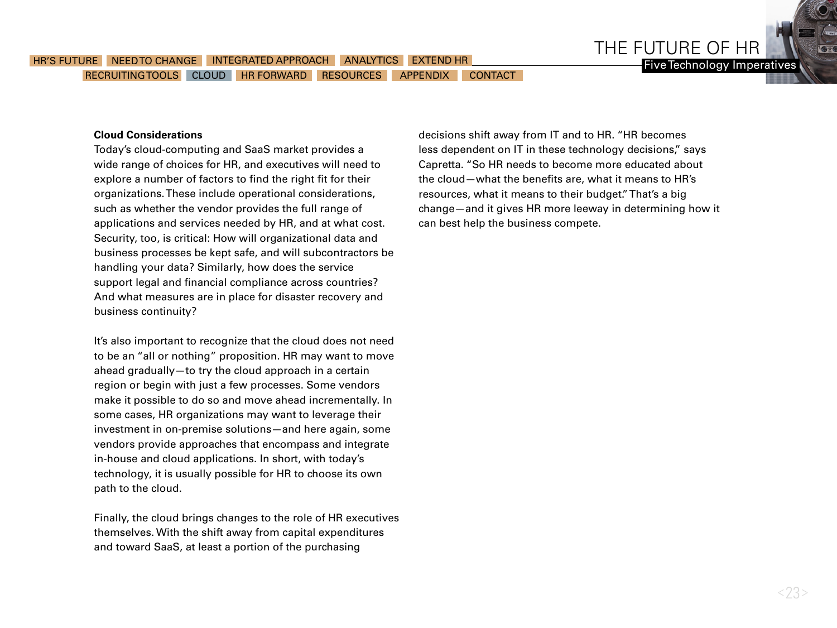#### **Cloud Considerations**

Today's cloud-computing and SaaS market provides a wide range of choices for HR, and executives will need to explore a number of factors to find the right fit for their organizations. These include operational considerations, such as whether the vendor provides the full range of applications and services needed by HR, and at what cost. Security, too, is critical: How will organizational data and business processes be kept safe, and will subcontractors be handling your data? Similarly, how does the service support legal and financial compliance across countries? And what measures are in place for disaster recovery and business continuity?

It's also important to recognize that the cloud does not need to be an "all or nothing" proposition. HR may want to move ahead gradually—to try the cloud approach in a certain region or begin with just a few processes. Some vendors make it possible to do so and move ahead incrementally. In some cases, HR organizations may want to leverage their investment in on-premise solutions—and here again, some vendors provide approaches that encompass and integrate in-house and cloud applications. In short, with today's technology, it is usually possible for HR to choose its own path to the cloud.

Finally, the cloud brings changes to the role of HR executives themselves. With the shift away from capital expenditures and toward SaaS, at least a portion of the purchasing

decisions shift away from IT and to HR. "HR becomes less dependent on IT in these technology decisions," says Capretta. "So HR needs to become more educated about the cloud—what the benefits are, what it means to HR's resources, what it means to their budget." That's a big change—and it gives HR more leeway in determining how it can best help the business compete.

THE FUTURE OF HR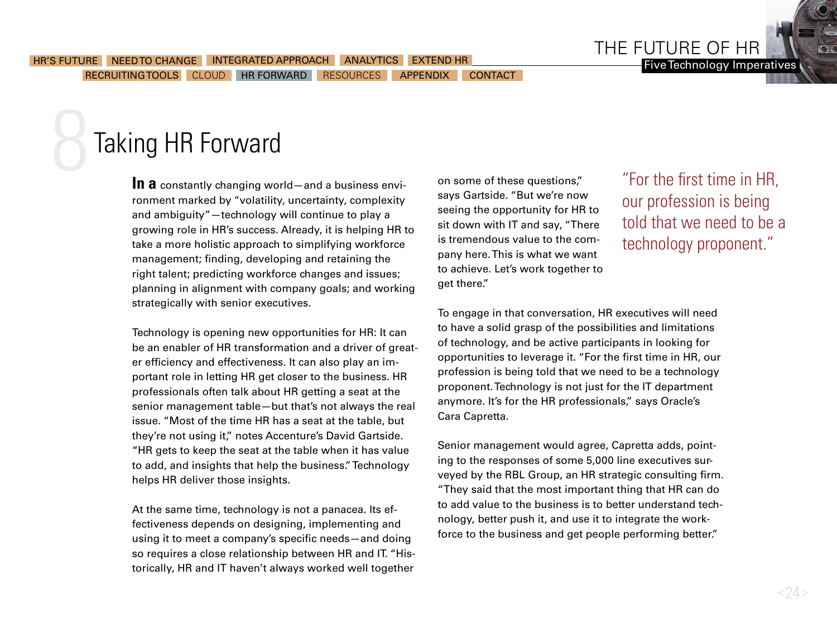# <span id="page-23-0"></span>Taking HR Forward

**In a** constantly changing world—and a business environment marked by "volatility, uncertainty, complexity and ambiguity"—technology will continue to play a growing role in HR's success. Already, it is helping HR to take a more holistic approach to simplifying workforce management; finding, developing and retaining the right talent; predicting workforce changes and issues; planning in alignment with company goals; and working strategically with senior executives.

Technology is opening new opportunities for HR: It can be an enabler of HR transformation and a driver of greater efficiency and effectiveness. It can also play an important role in letting HR get closer to the business. HR professionals often talk about HR getting a seat at the senior management table—but that's not always the real issue. "Most of the time HR has a seat at the table, but they're not using it," notes Accenture's David Gartside. "HR gets to keep the seat at the table when it has value to add, and insights that help the business." Technology helps HR deliver those insights.

At the same time, technology is not a panacea. Its effectiveness depends on designing, implementing and using it to meet a company's specific needs—and doing so requires a close relationship between HR and IT. "Historically, HR and IT haven't always worked well together

on some of these questions," says Gartside. "But we're now seeing the opportunity for HR to sit down with IT and say, "There is tremendous value to the company here. This is what we want to achieve. Let's work together to get there."

### "For the first time in HR, our profession is being told that we need to be a technology proponent."

THE FUTURE OF HR

To engage in that conversation, HR executives will need to have a solid grasp of the possibilities and limitations of technology, and be active participants in looking for opportunities to leverage it. "For the first time in HR, our profession is being told that we need to be a technology proponent. Technology is not just for the IT department anymore. It's for the HR professionals," says Oracle's Cara Capretta.

Senior management would agree, Capretta adds, pointing to the responses of some 5,000 line executives surveyed by the RBL Group, an HR strategic consulting firm. "They said that the most important thing that HR can do to add value to the business is to better understand technology, better push it, and use it to integrate the workforce to the business and get people performing better."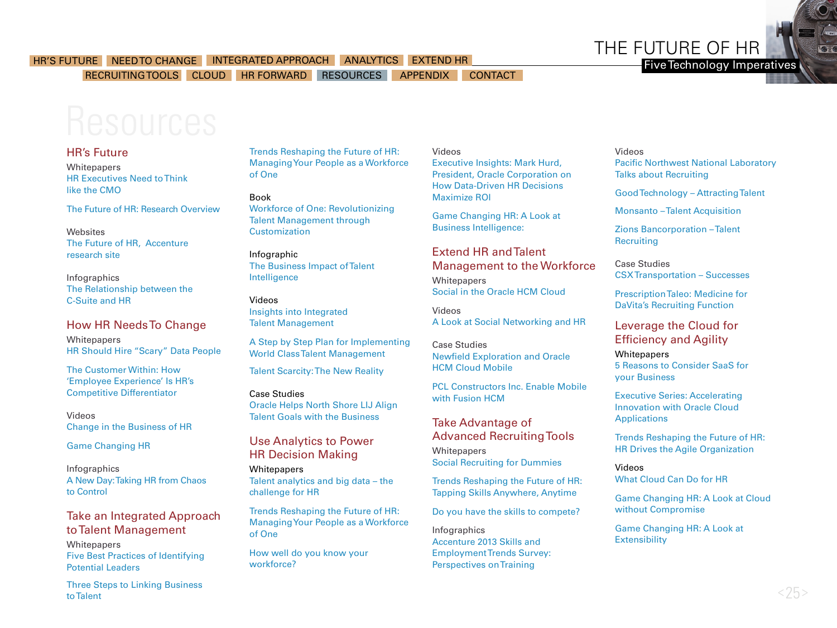

Five Technology Imperatives

<span id="page-24-0"></span>RECRUITING TOOLS CLOUD [HR FORWARD](#page-23-0) RESOURCES APPENDIX CONTACT

### HR's Future

**Whitepapers** [HR Executives Need to Think](http://www.forbes.com/sites/oracle/2013/12/05/bdussert_chro_think_like_the_cmo/)  [like the CMO](http://www.forbes.com/sites/oracle/2013/12/05/bdussert_chro_think_like_the_cmo/) 

[The Future of HR: Research Overview](http://www.accenture.com/SiteCollectionDocuments/PDF/Accenture-Future-of-HR-Overview.pdf)

Websites [The Future of HR, Accenture](http://www.accenture.com/us-en/Pages/insight-future-of-hr.aspx)  [research site](http://www.accenture.com/us-en/Pages/insight-future-of-hr.aspx)

Infographics [The Relationship between the](http://www.oracle.com/us/products/applications/relationship-csuite-hr-1868996.pdf)  [C-Suite and HR](http://www.oracle.com/us/products/applications/relationship-csuite-hr-1868996.pdf)

### How HR Needs To Change

**Whitepapers** [HR Should Hire "Scary" Data People](http://www.forbes.com/sites/oracle/2014/01/21/hr-should-hire-scary-data-people/)

[The Customer Within: How](http://www.forbes.com/sites/oracle/2013/09/11/the-customer-within-how-employee-experience-is-hrs-competitive-differentiator/)  ['Employee Experience' Is HR's](http://www.forbes.com/sites/oracle/2013/09/11/the-customer-within-how-employee-experience-is-hrs-competitive-differentiator/)  [Competitive Differentiator](http://www.forbes.com/sites/oracle/2013/09/11/the-customer-within-how-employee-experience-is-hrs-competitive-differentiator/)

Videos [Change in the Business of HR](http://medianetwork.oracle.com/video/player/1428233422001) 

[Game Changing HR](http://www.youtube.com/watch?v=SeWLZx4YQdo&feature=player_embedded)

Infographics [A New Day: Taking HR from Chaos](http://www.oracle.com/us/products/applications/human-capital-management/hcm-infographic-1915942.pdf)  [to Control](http://www.oracle.com/us/products/applications/human-capital-management/hcm-infographic-1915942.pdf)

### Take an Integrated Approach to Talent Management **Whitepapers** [Five Best Practices of Identifying](http://www.oracle.com/us/products/applications/talent-mgmt-potenital-leaders-2095829.pdf)  [Potential Leaders](http://www.oracle.com/us/products/applications/talent-mgmt-potenital-leaders-2095829.pdf)

[Three Steps to Linking Business](http://www.oracle.com/us/products/applications/talent-mgmt-integrated-approach-2095828.pdf)  [to Talent](http://www.oracle.com/us/products/applications/talent-mgmt-integrated-approach-2095828.pdf)

[Trends Reshaping the Future of HR:](http://www.accenture.com/us-en/Pages/insight-future-of-hr-trends-reshaping-workforce-one.aspx)  [Managing Your People as a Workforce](http://www.accenture.com/us-en/Pages/insight-future-of-hr-trends-reshaping-workforce-one.aspx)  [of One](http://www.accenture.com/us-en/Pages/insight-future-of-hr-trends-reshaping-workforce-one.aspx)

Book [Workforce of One: Revolutionizing](http://www.accenture.com/us-en/Pages/insight-talent-management-customization.aspx)  [Talent Management through](http://www.accenture.com/us-en/Pages/insight-talent-management-customization.aspx)  **[Customization](http://www.accenture.com/us-en/Pages/insight-talent-management-customization.aspx)** 

Infographic [The Business Impact of Talent](http://www.oracle-downloads.com/talent_intelligence/)  [Intelligence](http://www.oracle-downloads.com/talent_intelligence/)

Videos [Insights into Integrated](http://medianetwork.oracle.com/video/player/2163253242001)  [Talent Management](http://medianetwork.oracle.com/video/player/2163253242001)

[A Step by Step Plan for Implementing](https://www.youtube.com/watch?v=WYkT3oqOpFI)  [World Class Talent Management](https://www.youtube.com/watch?v=WYkT3oqOpFI)

[Talent Scarcity: The New Reality](http://www.youtube.com/watch?v=JjQKQXmsJzU)

Case Studies [Oracle Helps North Shore LIJ Align](http://link.brightcove.com/services/player/bcpid62612523001?bctid=1861021713001)  [Talent Goals with the Business](http://link.brightcove.com/services/player/bcpid62612523001?bctid=1861021713001)

### Use Analytics to Power HR Decision Making

**Whitepapers** [Talent analytics and big data – the](http://www.oracle.com/us/products/applications/human-capital-management/talent-analytics-and-big-data-2063584.pdf)  [challenge for HR](http://www.oracle.com/us/products/applications/human-capital-management/talent-analytics-and-big-data-2063584.pdf)

[Trends Reshaping the Future of HR:](http://www.accenture.com/SiteCollectionDocuments/PDF/Accenture-Trends-Reshaping-HR-Workforce-One.pdf)  [Managing Your People as a Workforce](http://www.accenture.com/SiteCollectionDocuments/PDF/Accenture-Trends-Reshaping-HR-Workforce-One.pdf)  [of One](http://www.accenture.com/SiteCollectionDocuments/PDF/Accenture-Trends-Reshaping-HR-Workforce-One.pdf)

[How well do you know your](http://www.accenture.com/us-en/outlook/Pages/outlook-journal-2013-how-well-do-you-know-your-workforce-analytics.aspx)  [workforce?](http://www.accenture.com/us-en/outlook/Pages/outlook-journal-2013-how-well-do-you-know-your-workforce-analytics.aspx)

Videos [Executive Insights: Mark Hurd,](http://www.youtube.com/watch?v=hJFh70x1I34)  [President, Oracle Corporation on](http://www.youtube.com/watch?v=hJFh70x1I34)  [How Data-Driven HR Decisions](http://www.youtube.com/watch?v=hJFh70x1I34)  [Maximize ROI](http://www.youtube.com/watch?v=hJFh70x1I34)

[Game Changing HR: A Look at](http://medianetwork.oracle.com/video/player/1428275356001)  [Business Intelligence:](http://medianetwork.oracle.com/video/player/1428275356001)

### Extend HR and Talent Management to the Workforce **Whitepapers** [Social in the Oracle HCM Cloud](http://www.oracle.com/us/products/applications/fusion/oraclesocialcloud-2020907.pdf)

Videos [A Look at Social Networking and HR](http://medianetwork.oracle.com/video/player/1452911485001)

Case Studies [Newfield Exploration and Oracle](http://player.vimeo.com/video/74857035)  [HCM Cloud Mobile](http://player.vimeo.com/video/74857035) 

[PCL Constructors Inc. Enable Mobile](http://www.youtube.com/watch?v=08inB9QzcOc)  [with Fusion HCM](http://www.youtube.com/watch?v=08inB9QzcOc)

Take Advantage of Advanced Recruiting Tools **Whitepapers** [Social Recruiting for Dummies](http://www.oracle.com/goto/social_recruiting/)

[Trends Reshaping the Future of HR:](http://www.accenture.com/us-en/Pages/insight-future-of-hr-trends-reshaping-skills.aspx)  [Tapping Skills Anywhere, Anytime](http://www.accenture.com/us-en/Pages/insight-future-of-hr-trends-reshaping-skills.aspx) 

[Do you have the skills to compete?](http://www.accenture.com/us-en/outlook/Pages/outlook-online-2013-do-you-have-the-skills-to-compete.aspx) 

Infographics [Accenture 2013 Skills and](http://www.accenture.com/us-en/Pages/insight-accenture-2013-skills-employment-trends-survey-perspectives-on-training-infographic.aspx)  [Employment Trends Survey:](http://www.accenture.com/us-en/Pages/insight-accenture-2013-skills-employment-trends-survey-perspectives-on-training-infographic.aspx)  [Perspectives on Training](http://www.accenture.com/us-en/Pages/insight-accenture-2013-skills-employment-trends-survey-perspectives-on-training-infographic.aspx)

#### Videos [Pacific Northwest National Laboratory](http://medianetwork.oracle.com/video/player/2246201099001)  [Talks about Recruiting](http://medianetwork.oracle.com/video/player/2246201099001)

[Good Technology – Attracting Talent](http://link.brightcove.com/services/player/bcpid62612523001?bctid=2257983690001&playerType=single-social&size=c23) 

[Monsanto – Talent Acquisition](http://link.brightcove.com/services/player/bcpid62612523001?bctid=2257983688001&playerType=single-social&size=c23) 

[Zions Bancorporation – Talent](http://link.brightcove.com/services/player/bcpid62612523001?bctid=2257983691001&playerType=single-social&size=c23)  **[Recruiting](http://link.brightcove.com/services/player/bcpid62612523001?bctid=2257983691001&playerType=single-social&size=c23)** 

Case Studies [CSX Transportation – Successes](http://link.brightcove.com/services/player/bcpid62612523001?bctid=2257983726001&playerType=single-social&size=c23)

[Prescription Taleo: Medicine for](http://www.oracle.com/us/corporate/customers/customersearch/davita-taleo-case-study-1657075.html)  [DaVita's Recruiting Function](http://www.oracle.com/us/corporate/customers/customersearch/davita-taleo-case-study-1657075.html)

### Leverage the Cloud for Efficiency and Agility

**Whitepapers** [5 Reasons to Consider SaaS for](http://www.oracle.com/us/products/applications/hcm-saas-business-apps-2095965.pdf)  [your Business](http://www.oracle.com/us/products/applications/hcm-saas-business-apps-2095965.pdf)

[Executive Series: Accelerating](http://www.oracle.com/us/products/applications/fusion/cloud-application-brief-1851136.pdf)  [Innovation with Oracle Cloud](http://www.oracle.com/us/products/applications/fusion/cloud-application-brief-1851136.pdf)  **[Applications](http://www.oracle.com/us/products/applications/fusion/cloud-application-brief-1851136.pdf)** 

[Trends Reshaping the Future of HR:](http://www.accenture.com/us-en/Pages/insight-future-of-hr-trends-agile-organization.aspx)  [HR Drives the Agile Organization](http://www.accenture.com/us-en/Pages/insight-future-of-hr-trends-agile-organization.aspx)

Videos [What Cloud Can Do for HR](http://medianetwork.oracle.com/video/player/2246159946001) 

[Game Changing HR: A Look at Cloud](https://medianetwork.oracle.com/video/player/1428277520001)  [without Compromise](https://medianetwork.oracle.com/video/player/1428277520001) 

[Game Changing HR: A Look at](http://medianetwork.oracle.com/video/player/1432221224001)  **[Extensibility](http://medianetwork.oracle.com/video/player/1432221224001)**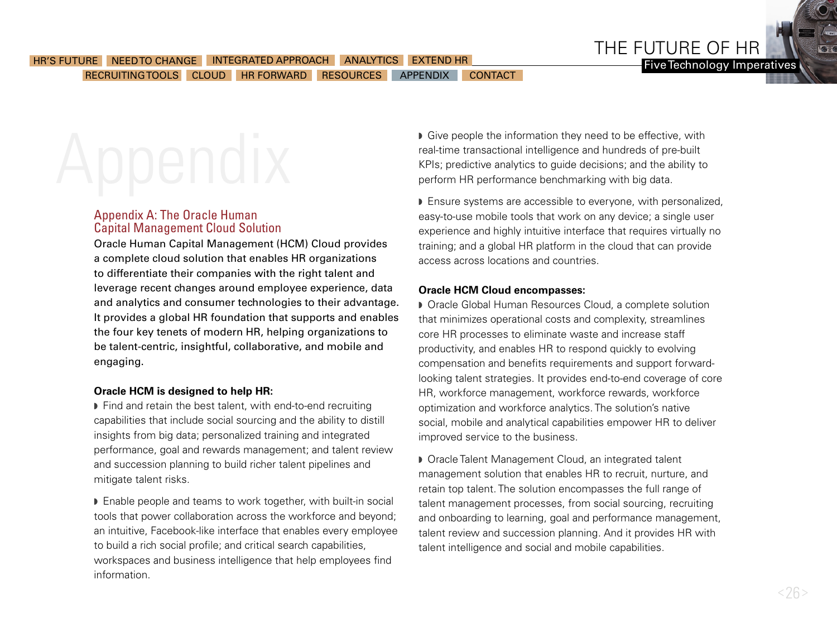### <span id="page-25-0"></span>HR'S FUTURE [NEED TO CHANGE](#page-5-0) [INTEGRATED APPROACH](#page-7-0) [ANALYTICS](#page-10-0) [EXTEND HR](#page-14-0) NAMES AND THE TIME TO THE TO CHANGE INTEGRATED APPROACH ANALYTICS EXTEND HR [RECRUITING TOOLS](#page-17-0) [CLOUD](#page-20-0) HR FORWARD [RESOURCES](#page-24-0) APPENDIX [CONTACT](#page-28-0)

### Appendix A: The Oracle Human Capital Management Cloud Solution

Oracle Human Capital Management (HCM) Cloud provides a complete cloud solution that enables HR organizations to differentiate their companies with the right talent and leverage recent changes around employee experience, data and analytics and consumer technologies to their advantage. It provides a global HR foundation that supports and enables the four key tenets of modern HR, helping organizations to be talent-centric, insightful, collaborative, and mobile and engaging.

### **Oracle HCM is designed to help HR:**

 $\blacktriangleright$  Find and retain the best talent, with end-to-end recruiting capabilities that include social sourcing and the ability to distill insights from big data; personalized training and integrated performance, goal and rewards management; and talent review and succession planning to build richer talent pipelines and mitigate talent risks.

■ Enable people and teams to work together, with built-in social tools that power collaboration across the workforce and beyond; an intuitive, Facebook-like interface that enables every employee to build a rich social profile; and critical search capabilities, workspaces and business intelligence that help employees find information.

**Give people the information they need to be effective, with** real-time transactional intelligence and hundreds of pre-built KPIs; predictive analytics to guide decisions; and the ability to perform HR performance benchmarking with big data.

THE FUTURE OF HR

**Ensure systems are accessible to everyone, with personalized,** easy-to-use mobile tools that work on any device; a single user experience and highly intuitive interface that requires virtually no training; and a global HR platform in the cloud that can provide access across locations and countries.

### **Oracle HCM Cloud encompasses:**

**D** Oracle Global Human Resources Cloud, a complete solution that minimizes operational costs and complexity, streamlines core HR processes to eliminate waste and increase staff productivity, and enables HR to respond quickly to evolving compensation and benefits requirements and support forwardlooking talent strategies. It provides end-to-end coverage of core HR, workforce management, workforce rewards, workforce optimization and workforce analytics. The solution's native social, mobile and analytical capabilities empower HR to deliver improved service to the business.

■ Oracle Talent Management Cloud, an integrated talent management solution that enables HR to recruit, nurture, and retain top talent. The solution encompasses the full range of talent management processes, from social sourcing, recruiting and onboarding to learning, goal and performance management, talent review and succession planning. And it provides HR with talent intelligence and social and mobile capabilities.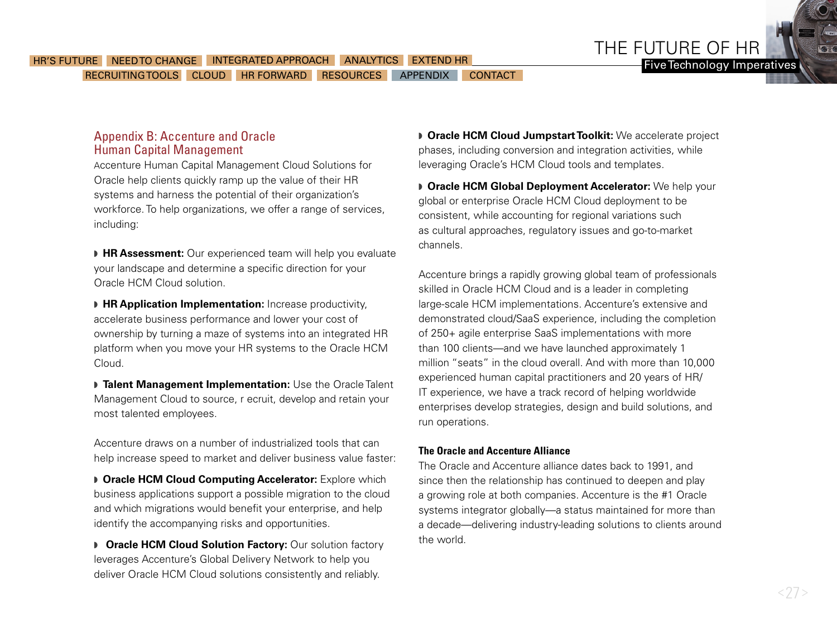THE FUTURE OF HR Five Technology Imperatives

### Appendix B: Accenture and Oracle Human Capital Management

Accenture Human Capital Management Cloud Solutions for Oracle help clients quickly ramp up the value of their HR systems and harness the potential of their organization's workforce. To help organizations, we offer a range of services, including:

**HR Assessment:** Our experienced team will help you evaluate your landscape and determine a specific direction for your Oracle HCM Cloud solution.

**FR Application Implementation:** Increase productivity, accelerate business performance and lower your cost of ownership by turning a maze of systems into an integrated HR platform when you move your HR systems to the Oracle HCM Cloud.

**Talent Management Implementation:** Use the Oracle Talent Management Cloud to source, r ecruit, develop and retain your most talented employees.

Accenture draws on a number of industrialized tools that can help increase speed to market and deliver business value faster:

**D** Oracle HCM Cloud Computing Accelerator: Explore which business applications support a possible migration to the cloud and which migrations would benefit your enterprise, and help identify the accompanying risks and opportunities.

**D** Oracle HCM Cloud Solution Factory: Our solution factory leverages Accenture's Global Delivery Network to help you deliver Oracle HCM Cloud solutions consistently and reliably.

**D** Oracle HCM Cloud Jumpstart Toolkit: We accelerate project phases, including conversion and integration activities, while leveraging Oracle's HCM Cloud tools and templates.

**D** Oracle HCM Global Deployment Accelerator: We help your global or enterprise Oracle HCM Cloud deployment to be consistent, while accounting for regional variations such as cultural approaches, regulatory issues and go-to-market channels.

Accenture brings a rapidly growing global team of professionals skilled in Oracle HCM Cloud and is a leader in completing large-scale HCM implementations. Accenture's extensive and demonstrated cloud/SaaS experience, including the completion of 250+ agile enterprise SaaS implementations with more than 100 clients—and we have launched approximately 1 million "seats" in the cloud overall. And with more than 10,000 experienced human capital practitioners and 20 years of HR/ IT experience, we have a track record of helping worldwide enterprises develop strategies, design and build solutions, and run operations.

#### **The Oracle and Accenture Alliance**

The Oracle and Accenture alliance dates back to 1991, and since then the relationship has continued to deepen and play a growing role at both companies. Accenture is the #1 Oracle systems integrator globally—a status maintained for more than a decade—delivering industry-leading solutions to clients around the world.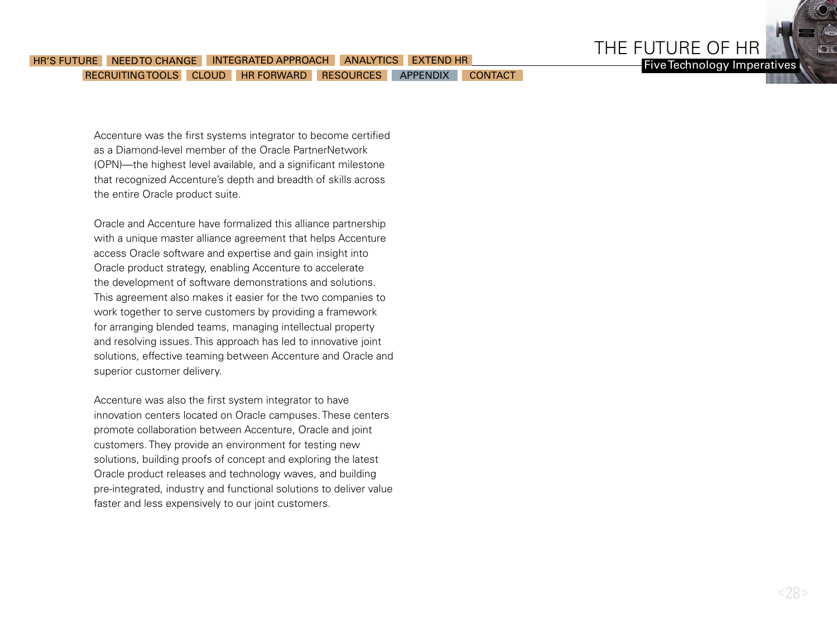

### RECRUITING TOOLS CLOUD [HR FORWARD](#page-23-0) [RESOURCES](#page-24-0) [APPENDIX](#page-25-0) [CONTACT](#page-28-0) HR'S FUTURE A [NEED TO CHANGE](#page-5-0) AND THE GRATED APPROACH AN ALYTICS [EXTEND HR](#page-14-0)

Accenture was the first systems integrator to become certified as a Diamond-level member of the Oracle PartnerNetwork (OPN)—the highest level available, and a significant milestone that recognized Accenture's depth and breadth of skills across the entire Oracle product suite.

Oracle and Accenture have formalized this alliance partnership with a unique master alliance agreement that helps Accenture access Oracle software and expertise and gain insight into Oracle product strategy, enabling Accenture to accelerate the development of software demonstrations and solutions. This agreement also makes it easier for the two companies to work together to serve customers by providing a framework for arranging blended teams, managing intellectual property and resolving issues. This approach has led to innovative joint solutions, effective teaming between Accenture and Oracle and superior customer delivery.

Accenture was also the first system integrator to have innovation centers located on Oracle campuses. These centers promote collaboration between Accenture, Oracle and joint customers. They provide an environment for testing new solutions, building proofs of concept and exploring the latest Oracle product releases and technology waves, and building pre-integrated, industry and functional solutions to deliver value faster and less expensively to our joint customers.

Five Technology Imperatives